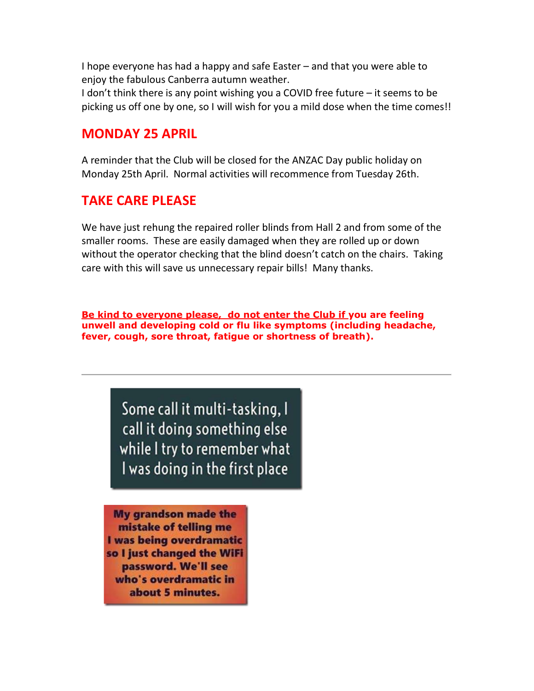I hope everyone has had a happy and safe Easter – and that you were able to enjoy the fabulous Canberra autumn weather.

I don't think there is any point wishing you a COVID free future – it seems to be picking us off one by one, so I will wish for you a mild dose when the time comes!!

## MONDAY 25 APRIL

A reminder that the Club will be closed for the ANZAC Day public holiday on Monday 25th April. Normal activities will recommence from Tuesday 26th.

## TAKE CARE PLEASE

We have just rehung the repaired roller blinds from Hall 2 and from some of the smaller rooms. These are easily damaged when they are rolled up or down without the operator checking that the blind doesn't catch on the chairs. Taking care with this will save us unnecessary repair bills! Many thanks.

Be kind to everyone please, do not enter the Club if you are feeling unwell and developing cold or flu like symptoms (including headache, fever, cough, sore throat, fatigue or shortness of breath).

> Some call it multi-tasking, I call it doing something else while I try to remember what I was doing in the first place

**My grandson made the** mistake of telling me I was being overdramatic so I just changed the WiFi password. We'll see who's overdramatic in about 5 minutes. **Participants** 

 $\sim$   $\sim$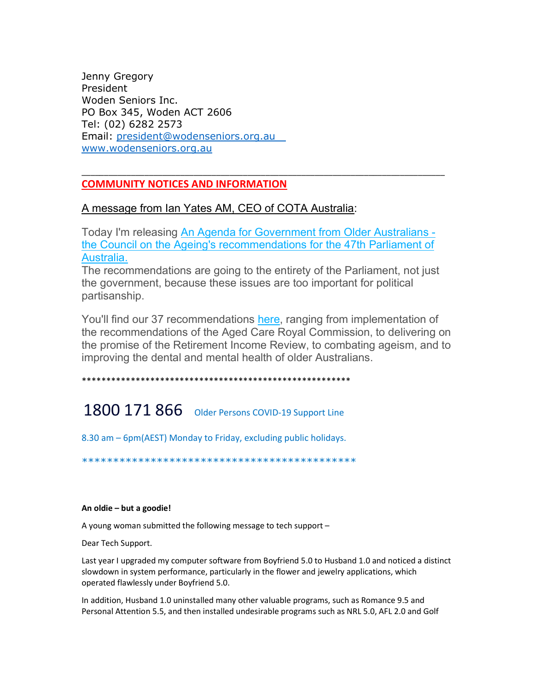Jenny Gregory President Woden Seniors Inc. PO Box 345, Woden ACT 2606 Tel: (02) 6282 2573 Email: president@wodenseniors.org.au www.wodenseniors.org.au

### COMMUNITY NOTICES AND INFORMATION

#### A message from Ian Yates AM, CEO of COTA Australia:

Today I'm releasing An Agenda for Government from Older Australians the Council on the Ageing's recommendations for the 47th Parliament of Australia.

\_\_\_\_\_\_\_\_\_\_\_\_\_\_\_\_\_\_\_\_\_\_\_\_\_\_\_\_\_\_\_\_\_\_\_\_\_\_\_\_\_\_\_\_\_\_\_\_\_\_\_\_\_\_\_\_\_\_\_\_\_\_\_\_\_\_\_\_\_\_\_\_\_\_\_\_\_\_\_\_\_

The recommendations are going to the entirety of the Parliament, not just the government, because these issues are too important for political partisanship.

You'll find our 37 recommendations here, ranging from implementation of the recommendations of the Aged Care Royal Commission, to delivering on the promise of the Retirement Income Review, to combating ageism, and to improving the dental and mental health of older Australians.

\*\*\*\*\*\*\*\*\*\*\*\*\*\*\*\*\*\*\*\*\*\*\*\*\*\*\*\*\*\*\*\*\*\*\*\*\*\*\*\*\*\*\*\*\*\*\*\*\*\*\*\*\*\*\*

# 1800 171 866 Older Persons COVID-19 Support Line

8.30 am – 6pm(AEST) Monday to Friday, excluding public holidays.

\*\*\*\*\*\*\*\*\*\*\*\*\*\*\*\*\*\*\*\*\*\*\*\*\*\*\*\*\*\*\*\*\*\*\*\*\*\*\*\*\*\*\*\*

#### An oldie – but a goodie!

A young woman submitted the following message to tech support –

Dear Tech Support.

Last year I upgraded my computer software from Boyfriend 5.0 to Husband 1.0 and noticed a distinct slowdown in system performance, particularly in the flower and jewelry applications, which operated flawlessly under Boyfriend 5.0.

In addition, Husband 1.0 uninstalled many other valuable programs, such as Romance 9.5 and Personal Attention 5.5, and then installed undesirable programs such as NRL 5.0, AFL 2.0 and Golf